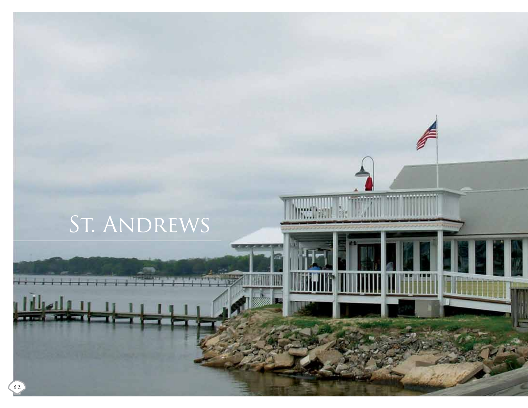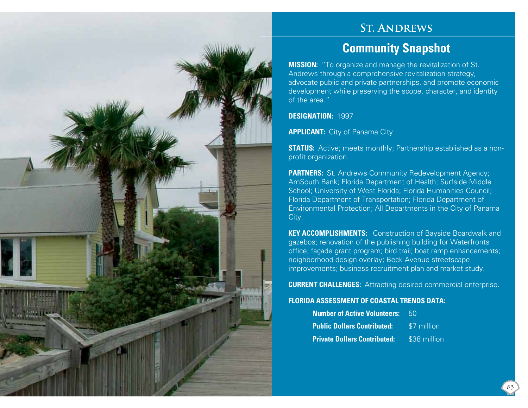

## **St. Andrews**

## **Community Snapshot**

**MISSION:** "To organize and manage the revitalization of St. Andrews through a comprehensive revitalization strategy, advocate public and private partnerships, and promote economic development while preserving the scope, character, and identity of the area."

**DESIGNATION:** 1997

**APPLICANT:** City of Panama City

**STATUS:** Active; meets monthly; Partnership established as a nonprofit organization.

**PARTNERS:** St. Andrews Community Redevelopment Agency; AmSouth Bank; Florida Department of Health; Surfside Middle School; University of West Florida; Florida Humanities Council; Florida Department of Transportation; Florida Department of Environmental Protection; All Departments in the City of Panama City.

**KEY ACCOMPLISHMENTS:** Construction of Bayside Boardwalk and gazebos; renovation of the publishing building for Waterfronts office; façade grant program; bird trail; boat ramp enhancements; neighborhood design overlay; Beck Avenue streetscape improvements; business recruitment plan and market study.

**CURRENT CHALLENGES:** Attracting desired commercial enterprise.

## **FLORIDA ASSESSMENT OF COASTAL TRENDS DATA:**

| <b>Number of Active Volunteers:</b> | <b>150'</b>  |
|-------------------------------------|--------------|
| <b>Public Dollars Contributed:</b>  | S7 million   |
| <b>Private Dollars Contributed:</b> | \$38 million |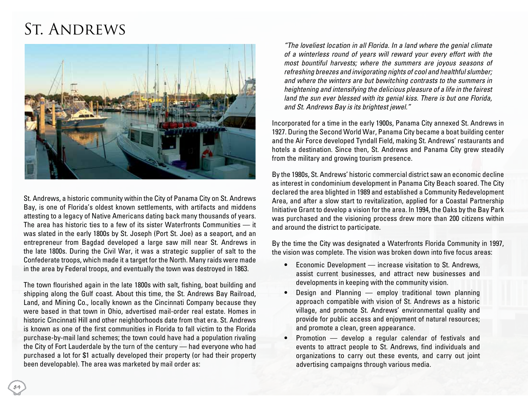## St. Andrews



St. Andrews, a historic community within the City of Panama City on St. Andrews Bay, is one of Florida's oldest known settlements, with artifacts and middens attesting to a legacy of Native Americans dating back many thousands of years. The area has historic ties to a few of its sister Waterfronts Communities — it was slated in the early 1800s by St. Joseph (Port St. Joe) as a seaport, and an entrepreneur from Bagdad developed a large saw mill near St. Andrews in the late 1800s. During the Civil War, it was a strategic supplier of salt to the Confederate troops, which made it a target for the North. Many raids were made in the area by Federal troops, and eventually the town was destroyed in 1863.

The town flourished again in the late 1800s with salt, fishing, boat building and shipping along the Gulf coast. About this time, the St. Andrews Bay Railroad, Land, and Mining Co., locally known as the Cincinnati Company because they were based in that town in Ohio, advertised mail-order real estate. Homes in historic Cincinnati Hill and other neighborhoods date from that era. St. Andrews is known as one of the first communities in Florida to fall victim to the Florida purchase-by-mail land schemes; the town could have had a population rivaling the City of Fort Lauderdale by the turn of the century — had everyone who had purchased a lot for \$1 actually developed their property (or had their property been developable). The area was marketed by mail order as:

"The loveliest location in all Florida. In a land where the genial climate *of a winterless round of years will reward your every effort with the*  most bountiful harvests; where the summers are joyous seasons of refreshing breezes and invigorating nights of cool and healthful slumber; *and where the winters are but bewitching contrasts to the summers in heightening and intensifying the delicious pleasure of a life in the fairest*  land the sun ever blessed with its genial kiss. There is but one Florida, *and St. Andrews Bay is its brightest jewel."*

Incorporated for a time in the early 1900s, Panama City annexed St. Andrews in 1927. During the Second World War, Panama City became a boat building center and the Air Force developed Tyndall Field, making St. Andrews' restaurants and hotels a destination. Since then, St. Andrews and Panama City grew steadily from the military and growing tourism presence.

By the 1980s, St. Andrews' historic commercial district saw an economic decline as interest in condominium development in Panama City Beach soared. The City declared the area blighted in 1989 and established a Community Redevelopment Area, and after a slow start to revitalization, applied for a Coastal Partnership Initiative Grant to develop a vision for the area. In 1994, the Oaks by the Bay Park was purchased and the visioning process drew more than 200 citizens within and around the district to participate.

By the time the City was designated a Waterfronts Florida Community in 1997, the vision was complete. The vision was broken down into five focus areas:

- Economic Development increase visitation to St. Andrews, assist current businesses, and attract new businesses and developments in keeping with the community vision.
- Design and Planning employ traditional town planning approach compatible with vision of St. Andrews as a historic village, and promote St. Andrews' environmental quality and provide for public access and enjoyment of natural resources; and promote a clean, green appearance.
- Promotion develop a regular calendar of festivals and events to attract people to St. Andrews, find individuals and organizations to carry out these events, and carry out joint advertising campaigns through various media.